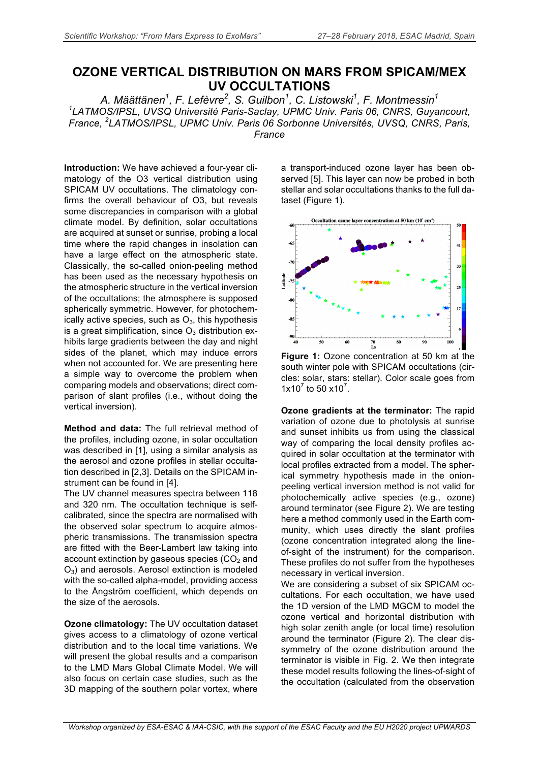## **OZONE VERTICAL DISTRIBUTION ON MARS FROM SPICAM/MEX UV OCCULTATIONS**

*A. Määttänen1 , F. Lefèvre<sup>2</sup> , S. Guilbon<sup>1</sup> , C. Listowski<sup>1</sup> , F. Montmessin<sup>1</sup> 1 LATMOS/IPSL, UVSQ Université Paris-Saclay, UPMC Univ. Paris 06, CNRS, Guyancourt, France, <sup>2</sup> LATMOS/IPSL, UPMC Univ. Paris 06 Sorbonne Universités, UVSQ, CNRS, Paris, France*

**Introduction:** We have achieved a four-year climatology of the O3 vertical distribution using SPICAM UV occultations. The climatology confirms the overall behaviour of O3, but reveals some discrepancies in comparison with a global climate model. By definition, solar occultations are acquired at sunset or sunrise, probing a local time where the rapid changes in insolation can have a large effect on the atmospheric state. Classically, the so-called onion-peeling method has been used as the necessary hypothesis on the atmospheric structure in the vertical inversion of the occultations; the atmosphere is supposed spherically symmetric. However, for photochemically active species, such as  $O_3$ , this hypothesis is a great simplification, since  $O_3$  distribution exhibits large gradients between the day and night sides of the planet, which may induce errors when not accounted for. We are presenting here a simple way to overcome the problem when comparing models and observations; direct comparison of slant profiles (i.e., without doing the vertical inversion).

**Method and data:** The full retrieval method of the profiles, including ozone, in solar occultation was described in [1], using a similar analysis as the aerosol and ozone profiles in stellar occultation described in [2,3]. Details on the SPICAM instrument can be found in [4].

The UV channel measures spectra between 118 and 320 nm. The occultation technique is selfcalibrated, since the spectra are normalised with the observed solar spectrum to acquire atmospheric transmissions. The transmission spectra are fitted with the Beer-Lambert law taking into account extinction by gaseous species  $(CO<sub>2</sub>$  and  $O<sub>3</sub>$ ) and aerosols. Aerosol extinction is modeled with the so-called alpha-model, providing access to the Ångström coefficient, which depends on the size of the aerosols.

**Ozone climatology:** The UV occultation dataset gives access to a climatology of ozone vertical distribution and to the local time variations. We will present the global results and a comparison to the LMD Mars Global Climate Model. We will also focus on certain case studies, such as the 3D mapping of the southern polar vortex, where

a transport-induced ozone layer has been observed [5]. This layer can now be probed in both stellar and solar occultations thanks to the full dataset (Figure 1).



**Figure 1:** Ozone concentration at 50 km at the south winter pole with SPICAM occultations (circles: solar, stars: stellar). Color scale goes from 1x10 $^7$  to 50 x10 $^7$ .

**Ozone gradients at the terminator:** The rapid variation of ozone due to photolysis at sunrise and sunset inhibits us from using the classical way of comparing the local density profiles acquired in solar occultation at the terminator with local profiles extracted from a model. The spherical symmetry hypothesis made in the onionpeeling vertical inversion method is not valid for photochemically active species (e.g., ozone) around terminator (see Figure 2). We are testing here a method commonly used in the Earth community, which uses directly the slant profiles (ozone concentration integrated along the lineof-sight of the instrument) for the comparison. These profiles do not suffer from the hypotheses necessary in vertical inversion.

We are considering a subset of six SPICAM occultations. For each occultation, we have used the 1D version of the LMD MGCM to model the ozone vertical and horizontal distribution with high solar zenith angle (or local time) resolution around the terminator (Figure 2). The clear dissymmetry of the ozone distribution around the terminator is visible in Fig. 2. We then integrate these model results following the lines-of-sight of the occultation (calculated from the observation